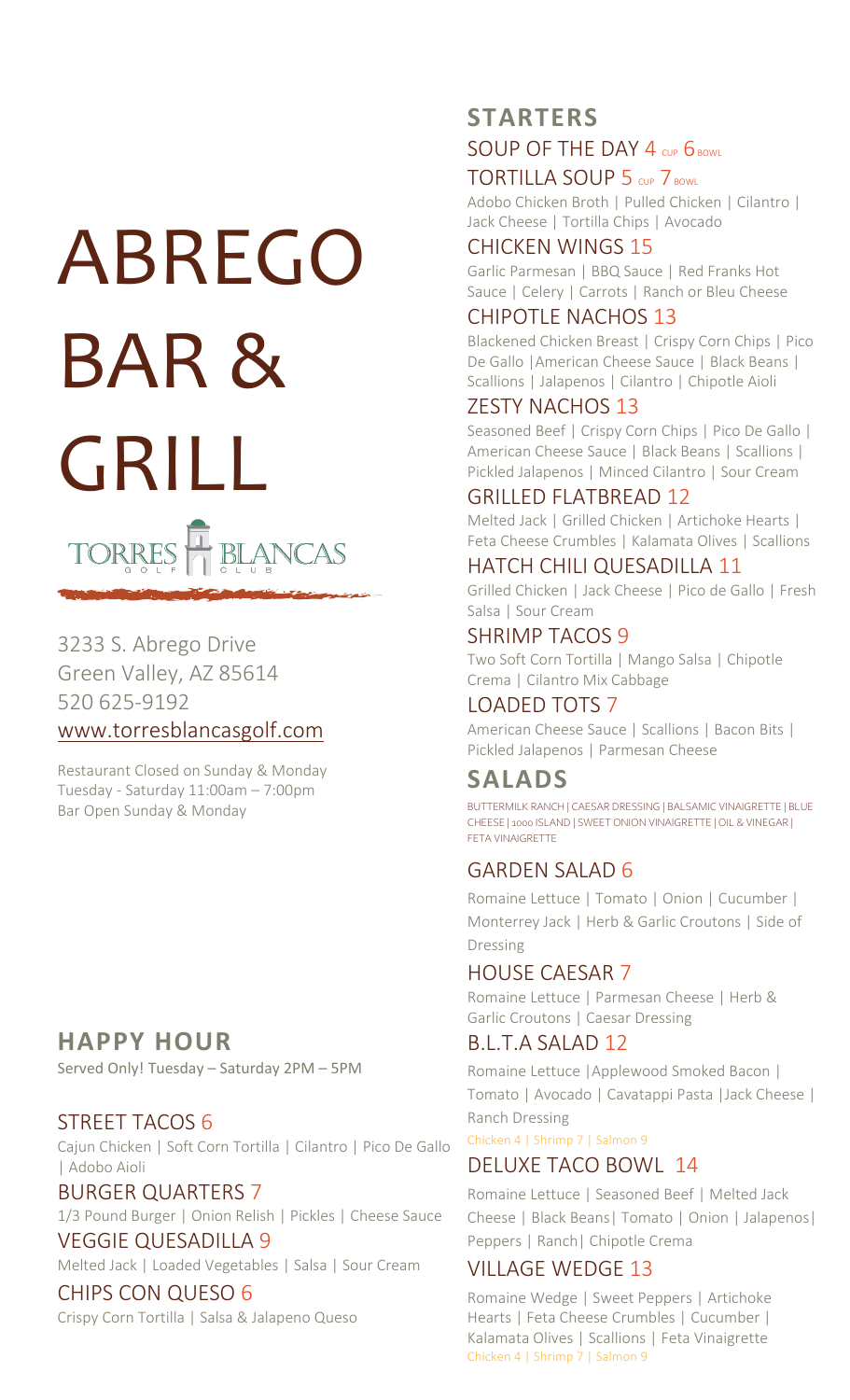# ABREGO BAR & GRILL TORRES HBLANCAS

# 3233 S. Abrego Drive Green Valley, AZ 85614 520 625-9192 [www.torresblancasgolf.com](http://www.torresblancasgolf.com/)

Restaurant Closed on Sunday & Monday Tuesday - Saturday 11:00am – 7:00pm Bar Open Sunday & Monday

# **HAPPY HOUR**

Served Only! Tuesday – Saturday 2PM – 5PM

# STREET TACOS 6

Cajun Chicken | Soft Corn Tortilla | Cilantro | Pico De Gallo | Adobo Aioli

BURGER QUARTERS 7

1/3 Pound Burger | Onion Relish | Pickles | Cheese Sauce

# VEGGIE QUESADILLA 9

Melted Jack | Loaded Vegetables | Salsa | Sour Cream

#### CHIPS CON QUESO 6 Crispy Corn Tortilla | Salsa & Jalapeno Queso

# **STARTERS** SOUP OF THE DAY 4 CUP 6 BOWL

# TORTILLA SOUP 5 CUP 7 BOWL

Adobo Chicken Broth | Pulled Chicken | Cilantro | Jack Cheese | Tortilla Chips | Avocado

## CHICKEN WINGS 15

Garlic Parmesan | BBQ Sauce | Red Franks Hot Sauce | Celery | Carrots | Ranch or Bleu Cheese

# CHIPOTLE NACHOS 13

Blackened Chicken Breast | Crispy Corn Chips | Pico De Gallo | American Cheese Sauce | Black Beans | Scallions | Jalapenos | Cilantro | Chipotle Aioli

# ZESTY NACHOS 13

Seasoned Beef | Crispy Corn Chips | Pico De Gallo | American Cheese Sauce | Black Beans | Scallions | Pickled Jalapenos | Minced Cilantro | Sour Cream

# GRILLED FLATBREAD 12

Melted Jack | Grilled Chicken | Artichoke Hearts | Feta Cheese Crumbles | Kalamata Olives | Scallions

## HATCH CHILI QUESADILLA 11

Grilled Chicken | Jack Cheese | Pico de Gallo | Fresh Salsa | Sour Cream

#### SHRIMP TACOS 9

Two Soft Corn Tortilla | Mango Salsa | Chipotle Crema | Cilantro Mix Cabbage

# LOADED TOTS 7

American Cheese Sauce | Scallions | Bacon Bits | Pickled Jalapenos | Parmesan Cheese

# **SALADS**

BUTTERMILK RANCH | CAESAR DRESSING | BALSAMIC VINAIGRETTE | BLUE CHEESE | 1000 ISLAND | SWEET ONION VINAIGRETTE | OIL & VINEGAR | FETA VINAIGRETTE

# GARDEN SALAD 6

Romaine Lettuce | Tomato | Onion | Cucumber | Monterrey Jack | Herb & Garlic Croutons | Side of Dressing

#### HOUSE CAESAR 7

Romaine Lettuce | Parmesan Cheese | Herb & Garlic Croutons | Caesar Dressing

# B.L.T.A SALAD 12

Romaine Lettuce |Applewood Smoked Bacon | Tomato | Avocado | Cavatappi Pasta |Jack Cheese | Ranch Dressing

Chicken 4 | Shrimp 7 | Salmon 9

# DELUXE TACO BOWL 14

Romaine Lettuce | Seasoned Beef | Melted Jack Cheese | Black Beans| Tomato | Onion | Jalapenos| Peppers | Ranch| Chipotle Crema

# VILLAGE WEDGE 13

Romaine Wedge | Sweet Peppers | Artichoke Hearts | Feta Cheese Crumbles | Cucumber | Kalamata Olives | Scallions | Feta Vinaigrette Chicken 4 | Shrimp 7 | Salmon 9